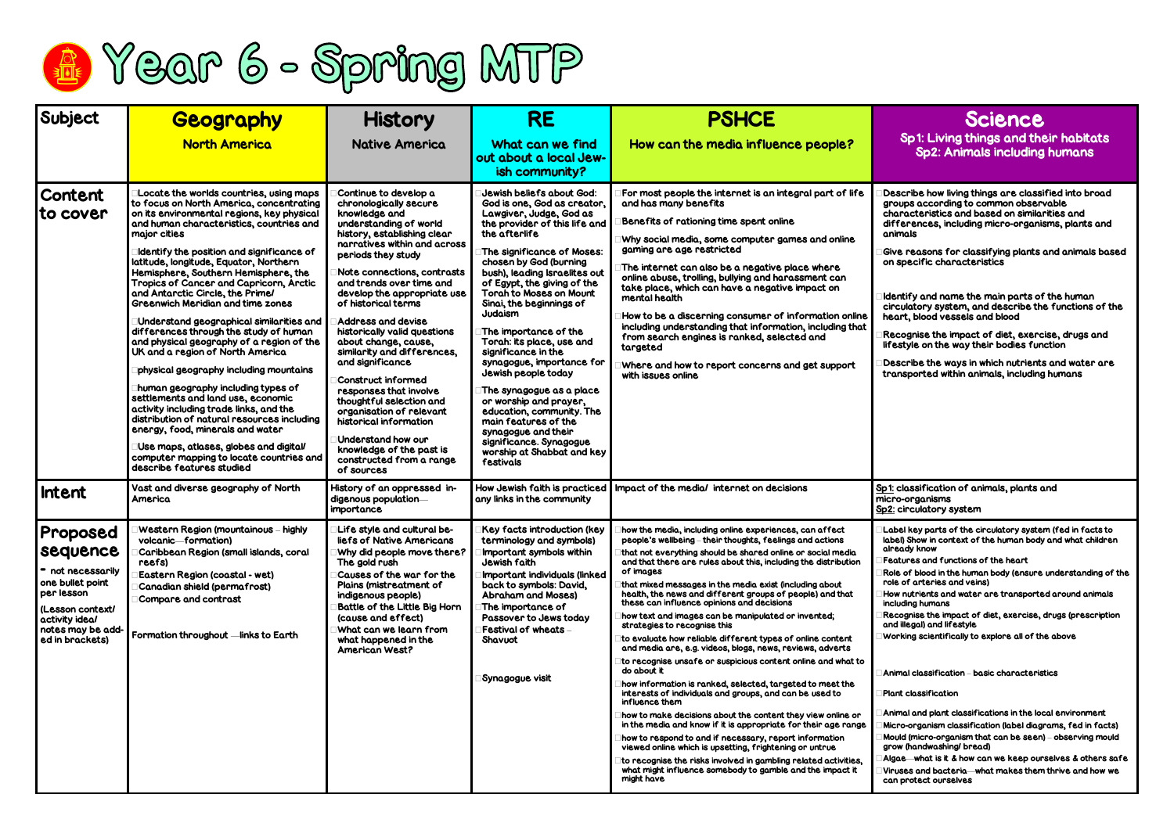## Sp1: Living things and their habitats Sp2: Animals including humans

 $\mathsf{Sive}$  reasons for classifying plants and animals based on specific characteristics

Recognise the impact of diet, exercise, drugs and festyle on the way their bodies function

 $\epsilon$  describe the ways in which nutrients and water are transported within animals, including humans

1: classification of animals, plants and micro-organisms 2: circulatory system

Role of blood in the human body (ensure understanding of the ole of arteries and veins)

Describe how living things are classified into broad groups according to common observable characteristics and based on similarities and lifferences, including micro-organisms, plants and animals

low nutrients and water are transported around animals including humans

Identify and name the main parts of the human circulatory system, and describe the functions of the heart, blood vessels and blood

lgae—what is it & how can we keep ourselves & others safe Viruses and bacteria—what makes them thrive and how we can protect ourselves



| Subject                                                                                                                                                   | <b>Geography</b>                                                                                                                                                                                                                                                                                                                                                                                                                                                                                                                                                                                                                                                                                                                                                                                                                                                                                                                                                                                      | <b>History</b>                                                                                                                                                                                                                                                                                                                                                                                                                                                                                                                                                                                                                                                         | <b>RE</b>                                                                                                                                                                                                                                                                                                                                                                                                                                                                                                                                                                                                                                                                       | <b>PSHCE</b>                                                                                                                                                                                                                                                                                                                                                                                                                                                                                                                                                                                                                                                                                                                                                                                                                                                                                                                                                                                                                                                                                                                                                                                                                                                                             |                                                                                                                   |
|-----------------------------------------------------------------------------------------------------------------------------------------------------------|-------------------------------------------------------------------------------------------------------------------------------------------------------------------------------------------------------------------------------------------------------------------------------------------------------------------------------------------------------------------------------------------------------------------------------------------------------------------------------------------------------------------------------------------------------------------------------------------------------------------------------------------------------------------------------------------------------------------------------------------------------------------------------------------------------------------------------------------------------------------------------------------------------------------------------------------------------------------------------------------------------|------------------------------------------------------------------------------------------------------------------------------------------------------------------------------------------------------------------------------------------------------------------------------------------------------------------------------------------------------------------------------------------------------------------------------------------------------------------------------------------------------------------------------------------------------------------------------------------------------------------------------------------------------------------------|---------------------------------------------------------------------------------------------------------------------------------------------------------------------------------------------------------------------------------------------------------------------------------------------------------------------------------------------------------------------------------------------------------------------------------------------------------------------------------------------------------------------------------------------------------------------------------------------------------------------------------------------------------------------------------|------------------------------------------------------------------------------------------------------------------------------------------------------------------------------------------------------------------------------------------------------------------------------------------------------------------------------------------------------------------------------------------------------------------------------------------------------------------------------------------------------------------------------------------------------------------------------------------------------------------------------------------------------------------------------------------------------------------------------------------------------------------------------------------------------------------------------------------------------------------------------------------------------------------------------------------------------------------------------------------------------------------------------------------------------------------------------------------------------------------------------------------------------------------------------------------------------------------------------------------------------------------------------------------|-------------------------------------------------------------------------------------------------------------------|
|                                                                                                                                                           | <b>North America</b>                                                                                                                                                                                                                                                                                                                                                                                                                                                                                                                                                                                                                                                                                                                                                                                                                                                                                                                                                                                  | <b>Native America</b>                                                                                                                                                                                                                                                                                                                                                                                                                                                                                                                                                                                                                                                  | What can we find<br>out about a local Jew-<br>ish community?                                                                                                                                                                                                                                                                                                                                                                                                                                                                                                                                                                                                                    | How can the media influence people?                                                                                                                                                                                                                                                                                                                                                                                                                                                                                                                                                                                                                                                                                                                                                                                                                                                                                                                                                                                                                                                                                                                                                                                                                                                      |                                                                                                                   |
| <b>Content</b><br>to cover                                                                                                                                | Locate the worlds countries, using maps<br>to focus on North America, concentrating<br>on its environmental regions, key physical<br>and human characteristics, countries and<br>major cities<br>Identify the position and significance of<br>latitude, longitude, Equator, Northern<br>Hemisphere, Southern Hemisphere, the<br>Tropics of Cancer and Capricorn, Arctic<br>and Antarctic Circle, the Prime/<br><b>Greenwich Meridian and time zones</b><br>Understand geographical similarities and<br>differences through the study of human<br>and physical geography of a region of the<br>UK and a region of North America<br>physical geography including mountains<br>human geography including types of<br>settlements and land use, economic<br>activity including trade links, and the<br>distribution of natural resources including<br>energy, food, minerals and water<br>Use maps, atlases, globes and digital/<br>computer mapping to locate countries and<br>describe features studied | Continue to develop a<br>chronologically secure<br>knowledge and<br>understanding of world<br>history, establishing clear<br>narratives within and across<br>periods they study<br>Note connections, contrasts<br>and trends over time and<br>develop the appropriate use<br>of historical terms<br><b>Address and devise</b><br>historically valid questions<br>about change, cause,<br>similarity and differences,<br>and significance<br>Construct informed<br>responses that involve<br>thoughtful selection and<br>organisation of relevant<br>historical information<br>Understand how our<br>knowledge of the past is<br>constructed from a range<br>of sources | Jewish beliefs about God:<br>God is one, God as creator,<br>Lawgiver, Judge, God as<br>the provider of this life and<br>the afterlife<br>The significance of Moses:<br>chosen by God (burning<br>bush), leading Israelites out<br>of Egypt, the giving of the<br><b>Torah to Moses on Mount</b><br>Sinai, the beginnings of<br>Judaism<br>The importance of the<br>Torah: its place, use and<br>significance in the<br>synagogue, importance for<br>Jewish people today<br>The synagogue as a place<br>or worship and prayer,<br>education, community. The<br>main features of the<br>synagogue and their<br>significance. Synagogue<br>worship at Shabbat and key<br>festivals | For most people the internet is an integral part of life<br>and has many benefits<br>Benefits of rationing time spent online<br>Why social media, some computer games and online<br>gaming are age restricted<br>The internet can also be a negative place where<br>online abuse, trolling, bullying and harassment can<br>take place, which can have a negative impact on<br>mental health<br>How to be a discerning consumer of information online<br>including understanding that information, including that<br>from search engines is ranked, selected and<br>targeted<br>Where and how to report concerns and get support<br>with issues online                                                                                                                                                                                                                                                                                                                                                                                                                                                                                                                                                                                                                                    | D<br>gı<br>QI<br><b>G</b><br>O<br>Id<br>ci<br>$\overline{\mathsf{R}}$<br>lif<br>D<br>tr                           |
| <b>Intent</b>                                                                                                                                             | Vast and diverse geography of North<br>America                                                                                                                                                                                                                                                                                                                                                                                                                                                                                                                                                                                                                                                                                                                                                                                                                                                                                                                                                        | History of an oppressed in-<br>digenous population-<br>importance                                                                                                                                                                                                                                                                                                                                                                                                                                                                                                                                                                                                      | How Jewish faith is practiced<br>any links in the community                                                                                                                                                                                                                                                                                                                                                                                                                                                                                                                                                                                                                     | Impact of the media/ internet on decisions                                                                                                                                                                                                                                                                                                                                                                                                                                                                                                                                                                                                                                                                                                                                                                                                                                                                                                                                                                                                                                                                                                                                                                                                                                               | <u>Sp1</u><br>$\overline{\text{mic}}$<br><u>Sp2</u>                                                               |
| Proposed<br>sequence<br>• not necessarily<br>one bullet point<br>per lesson<br>(Lesson context/<br>activity ideal<br>notes may be add-<br>ed in brackets) | Western Region (mountainous - highly<br>volcanic-formation)<br>Caribbean Region (small islands, coral<br>reefs)<br>Eastern Region (coastal - wet)<br>Canadian shield (permafrost)<br>Compare and contrast<br>Formation throughout -links to Earth                                                                                                                                                                                                                                                                                                                                                                                                                                                                                                                                                                                                                                                                                                                                                     | Life style and cultural be-<br>liefs of Native Americans<br>Why did people move there?<br>The gold rush<br>Causes of the war for the<br>Plains (mistreatment of<br>indigenous people)<br><b>Battle of the Little Big Horn</b><br>(cause and effect)<br>What can we learn from<br>what happened in the<br><b>American West?</b>                                                                                                                                                                                                                                                                                                                                         | Key facts introduction (key<br>terminology and symbols)<br>Important symbols within<br>Jewish faith<br><b>Important individuals (linked</b><br>back to symbols: David,<br><b>Abraham and Moses)</b><br>The importance of<br>Passover to Jews today<br><b>Festival of wheats -</b><br>Shavuot<br>Synagogue visit                                                                                                                                                                                                                                                                                                                                                                 | how the media, including online experiences, can affect<br>people's wellbeing – their thoughts, feelings and actions<br>that not everything should be shared online or social media<br>and that there are rules about this, including the distribution<br>of images<br>that mixed messages in the media exist (including about<br>health, the news and different groups of people) and that<br>these can influence opinions and decisions<br>how text and images can be manipulated or invented;<br>strategies to recognise this<br>to evaluate how reliable different types of online content<br>and media are, e.g. videos, blogs, news, reviews, adverts<br>to recognise unsafe or suspicious content online and what to<br>do about it<br>how information is ranked, selected, targeted to meet the<br>interests of individuals and groups, and can be used to<br>influence them<br>how to make decisions about the content they view online or<br>in the media and know if it is appropriate for their age range<br>how to respond to and if necessary, report information<br>viewed online which is upsetting, frightening or untrue<br>to recognise the risks involved in gambling related activities,<br>what might influence somebody to gamble and the impact it<br>might have | بال<br>la<br>αI<br>F<br>R<br>rc<br>н<br>in<br>۱R<br>ΩI<br>IW<br>A<br>IΡI<br>A<br>M<br>M<br>gr<br>AI<br>  Vi<br>cc |

## **Science**

Label key parts of the circulatory system (fed in facts to label) Show in context of the human body and what children already know

eatures and functions of the heart

Recognise the impact of diet, exercise, drugs (prescription and illegal) and lifestyle

Working scientifically to explore all of the above

 $\mathsf{A}$ nimal classification – basic characteristics

Plant classification

Animal and plant classifications in the local environment

Micro-organism classification (label diagrams, fed in facts) Mould (micro-organism that can be seen) – observing mould grow (handwashing/ bread)